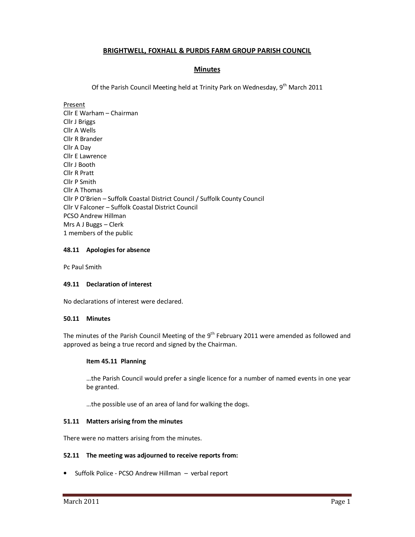# **BRIGHTWELL, FOXHALL & PURDIS FARM GROUP PARISH COUNCIL**

# **Minutes**

Of the Parish Council Meeting held at Trinity Park on Wednesday, 9<sup>th</sup> March 2011

Present Cllr E Warham – Chairman Cllr J Briggs Cllr A Wells Cllr R Brander Cllr A Day Cllr E Lawrence Cllr J Booth Cllr R Pratt Cllr P Smith Cllr A Thomas Cllr P O'Brien – Suffolk Coastal District Council / Suffolk County Council Cllr V Falconer – Suffolk Coastal District Council PCSO Andrew Hillman Mrs A J Buggs – Clerk 1 members of the public

# **48.11 Apologies for absence**

Pc Paul Smith

# **49.11 Declaration of interest**

No declarations of interest were declared.

## **50.11 Minutes**

The minutes of the Parish Council Meeting of the 9<sup>th</sup> February 2011 were amended as followed and approved as being a true record and signed by the Chairman.

## **Item 45.11 Planning**

…the Parish Council would prefer a single licence for a number of named events in one year be granted.

…the possible use of an area of land for walking the dogs.

## **51.11 Matters arising from the minutes**

There were no matters arising from the minutes.

## **52.11 The meeting was adjourned to receive reports from:**

• Suffolk Police - PCSO Andrew Hillman – verbal report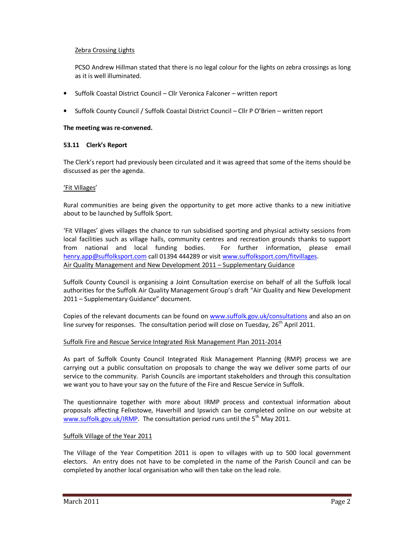# Zebra Crossing Lights

PCSO Andrew Hillman stated that there is no legal colour for the lights on zebra crossings as long as it is well illuminated.

- Suffolk Coastal District Council Cllr Veronica Falconer written report
- Suffolk County Council / Suffolk Coastal District Council Cllr P O'Brien written report

#### **The meeting was re-convened.**

#### **53.11 Clerk's Report**

The Clerk's report had previously been circulated and it was agreed that some of the items should be discussed as per the agenda.

#### 'Fit Villages'

Rural communities are being given the opportunity to get more active thanks to a new initiative about to be launched by Suffolk Sport.

'Fit Villages' gives villages the chance to run subsidised sporting and physical activity sessions from local facilities such as village halls, community centres and recreation grounds thanks to support from national and local funding bodies. For further information, please email henry.app@suffolksport.com call 01394 444289 or visit www.suffolksport.com/fitvillages. Air Quality Management and New Development 2011 – Supplementary Guidance

Suffolk County Council is organising a Joint Consultation exercise on behalf of all the Suffolk local authorities for the Suffolk Air Quality Management Group's draft "Air Quality and New Development 2011 – Supplementary Guidance" document.

Copies of the relevant documents can be found on www.suffolk.gov.uk/consultations and also an on line survey for responses. The consultation period will close on Tuesday,  $26<sup>th</sup>$  April 2011.

## Suffolk Fire and Rescue Service Integrated Risk Management Plan 2011-2014

As part of Suffolk County Council Integrated Risk Management Planning (RMP) process we are carrying out a public consultation on proposals to change the way we deliver some parts of our service to the community. Parish Councils are important stakeholders and through this consultation we want you to have your say on the future of the Fire and Rescue Service in Suffolk.

The questionnaire together with more about IRMP process and contextual information about proposals affecting Felixstowe, Haverhill and Ipswich can be completed online on our website at www.suffolk.gov.uk/IRMP. The consultation period runs until the  $5<sup>th</sup>$  May 2011.

## Suffolk Village of the Year 2011

The Village of the Year Competition 2011 is open to villages with up to 500 local government electors. An entry does not have to be completed in the name of the Parish Council and can be completed by another local organisation who will then take on the lead role.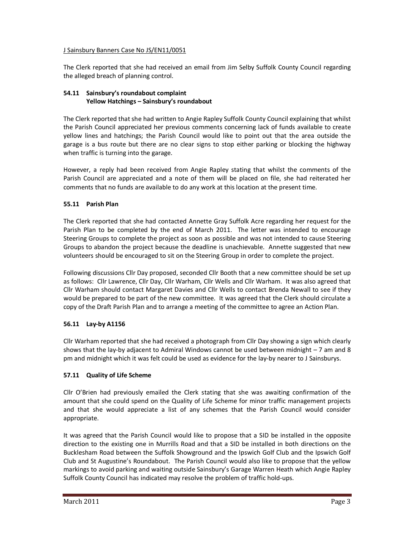# J Sainsbury Banners Case No JS/EN11/0051

The Clerk reported that she had received an email from Jim Selby Suffolk County Council regarding the alleged breach of planning control.

# **54.11 Sainsbury's roundabout complaint Yellow Hatchings – Sainsbury's roundabout**

The Clerk reported that she had written to Angie Rapley Suffolk County Council explaining that whilst the Parish Council appreciated her previous comments concerning lack of funds available to create yellow lines and hatchings; the Parish Council would like to point out that the area outside the garage is a bus route but there are no clear signs to stop either parking or blocking the highway when traffic is turning into the garage.

However, a reply had been received from Angie Rapley stating that whilst the comments of the Parish Council are appreciated and a note of them will be placed on file, she had reiterated her comments that no funds are available to do any work at this location at the present time.

# **55.11 Parish Plan**

The Clerk reported that she had contacted Annette Gray Suffolk Acre regarding her request for the Parish Plan to be completed by the end of March 2011. The letter was intended to encourage Steering Groups to complete the project as soon as possible and was not intended to cause Steering Groups to abandon the project because the deadline is unachievable. Annette suggested that new volunteers should be encouraged to sit on the Steering Group in order to complete the project.

Following discussions Cllr Day proposed, seconded Cllr Booth that a new committee should be set up as follows: Cllr Lawrence, Cllr Day, Cllr Warham, Cllr Wells and Cllr Warham. It was also agreed that Cllr Warham should contact Margaret Davies and Cllr Wells to contact Brenda Newall to see if they would be prepared to be part of the new committee. It was agreed that the Clerk should circulate a copy of the Draft Parish Plan and to arrange a meeting of the committee to agree an Action Plan.

# **56.11 Lay-by A1156**

Cllr Warham reported that she had received a photograph from Cllr Day showing a sign which clearly shows that the lay-by adjacent to Admiral Windows cannot be used between midnight – 7 am and 8 pm and midnight which it was felt could be used as evidence for the lay-by nearer to J Sainsburys.

# **57.11 Quality of Life Scheme**

Cllr O'Brien had previously emailed the Clerk stating that she was awaiting confirmation of the amount that she could spend on the Quality of Life Scheme for minor traffic management projects and that she would appreciate a list of any schemes that the Parish Council would consider appropriate.

It was agreed that the Parish Council would like to propose that a SID be installed in the opposite direction to the existing one in Murrills Road and that a SID be installed in both directions on the Bucklesham Road between the Suffolk Showground and the Ipswich Golf Club and the Ipswich Golf Club and St Augustine's Roundabout. The Parish Council would also like to propose that the yellow markings to avoid parking and waiting outside Sainsbury's Garage Warren Heath which Angie Rapley Suffolk County Council has indicated may resolve the problem of traffic hold-ups.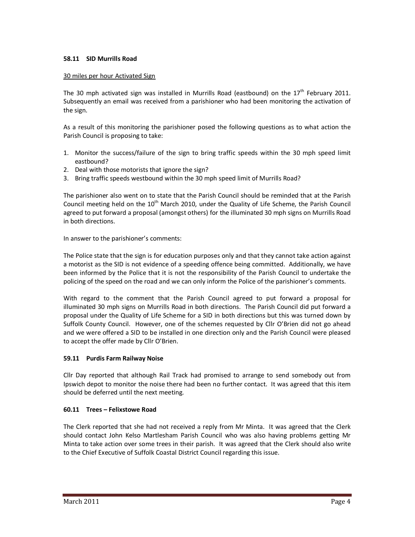# **58.11 SID Murrills Road**

## 30 miles per hour Activated Sign

The 30 mph activated sign was installed in Murrills Road (eastbound) on the  $17<sup>th</sup>$  February 2011. Subsequently an email was received from a parishioner who had been monitoring the activation of the sign.

As a result of this monitoring the parishioner posed the following questions as to what action the Parish Council is proposing to take:

- 1. Monitor the success/failure of the sign to bring traffic speeds within the 30 mph speed limit eastbound?
- 2. Deal with those motorists that ignore the sign?
- 3. Bring traffic speeds westbound within the 30 mph speed limit of Murrills Road?

The parishioner also went on to state that the Parish Council should be reminded that at the Parish Council meeting held on the  $10<sup>th</sup>$  March 2010, under the Quality of Life Scheme, the Parish Council agreed to put forward a proposal (amongst others) for the illuminated 30 mph signs on Murrills Road in both directions.

In answer to the parishioner's comments:

The Police state that the sign is for education purposes only and that they cannot take action against a motorist as the SID is not evidence of a speeding offence being committed. Additionally, we have been informed by the Police that it is not the responsibility of the Parish Council to undertake the policing of the speed on the road and we can only inform the Police of the parishioner's comments.

With regard to the comment that the Parish Council agreed to put forward a proposal for illuminated 30 mph signs on Murrills Road in both directions. The Parish Council did put forward a proposal under the Quality of Life Scheme for a SID in both directions but this was turned down by Suffolk County Council. However, one of the schemes requested by Cllr O'Brien did not go ahead and we were offered a SID to be installed in one direction only and the Parish Council were pleased to accept the offer made by Cllr O'Brien.

# **59.11 Purdis Farm Railway Noise**

Cllr Day reported that although Rail Track had promised to arrange to send somebody out from Ipswich depot to monitor the noise there had been no further contact. It was agreed that this item should be deferred until the next meeting.

# **60.11 Trees – Felixstowe Road**

The Clerk reported that she had not received a reply from Mr Minta. It was agreed that the Clerk should contact John Kelso Martlesham Parish Council who was also having problems getting Mr Minta to take action over some trees in their parish. It was agreed that the Clerk should also write to the Chief Executive of Suffolk Coastal District Council regarding this issue.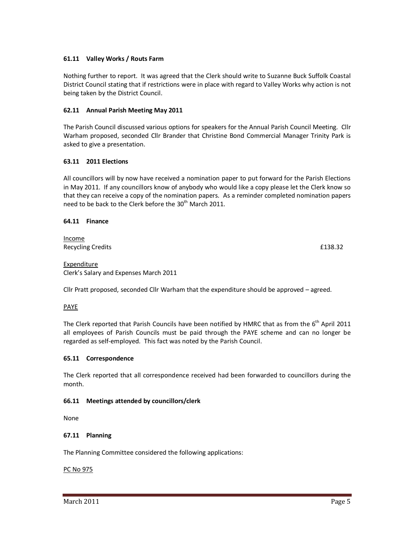# **61.11 Valley Works / Routs Farm**

Nothing further to report. It was agreed that the Clerk should write to Suzanne Buck Suffolk Coastal District Council stating that if restrictions were in place with regard to Valley Works why action is not being taken by the District Council.

# **62.11 Annual Parish Meeting May 2011**

The Parish Council discussed various options for speakers for the Annual Parish Council Meeting. Cllr Warham proposed, seconded Cllr Brander that Christine Bond Commercial Manager Trinity Park is asked to give a presentation.

# **63.11 2011 Elections**

All councillors will by now have received a nomination paper to put forward for the Parish Elections in May 2011. If any councillors know of anybody who would like a copy please let the Clerk know so that they can receive a copy of the nomination papers. As a reminder completed nomination papers need to be back to the Clerk before the  $30<sup>th</sup>$  March 2011.

# **64.11 Finance**

Income Recycling Credits **Example 2** and the contract of the contract of the contract of the contract of the contract of the contract of the contract of the contract of the contract of the contract of the contract of the contract

**Expenditure** Clerk's Salary and Expenses March 2011

Cllr Pratt proposed, seconded Cllr Warham that the expenditure should be approved – agreed.

## PAYE

The Clerk reported that Parish Councils have been notified by HMRC that as from the  $6<sup>th</sup>$  April 2011 all employees of Parish Councils must be paid through the PAYE scheme and can no longer be regarded as self-employed. This fact was noted by the Parish Council.

## **65.11 Correspondence**

The Clerk reported that all correspondence received had been forwarded to councillors during the month.

## **66.11 Meetings attended by councillors/clerk**

None

## **67.11 Planning**

The Planning Committee considered the following applications:

## PC No 975